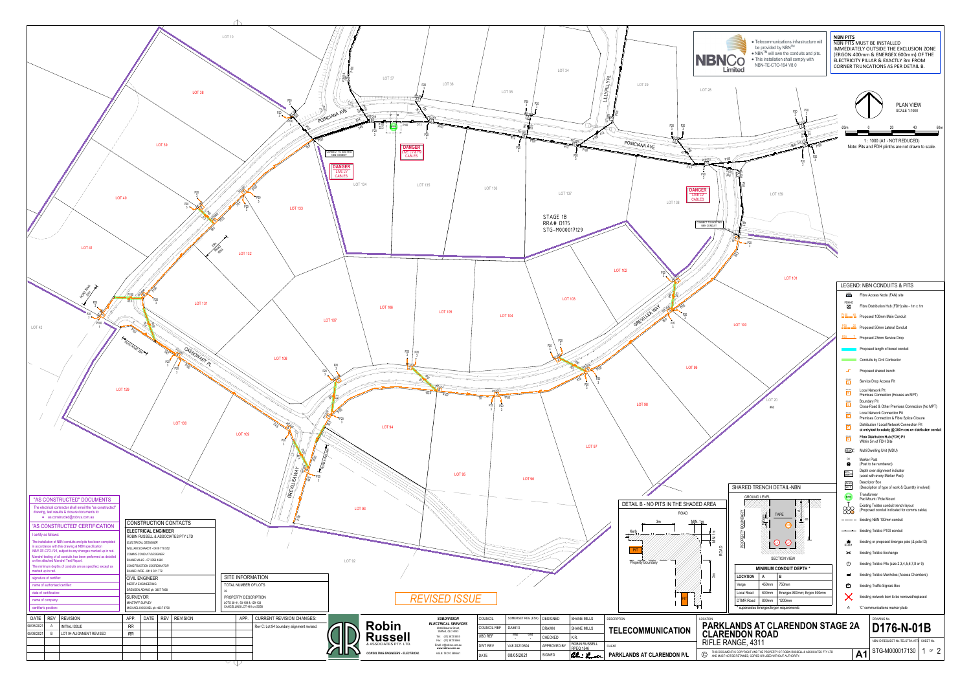